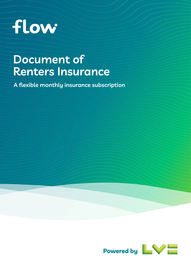

# **Document of <b>Carrolle Exercise Renters Insurance**

**A flexible monthly insurance subscription**

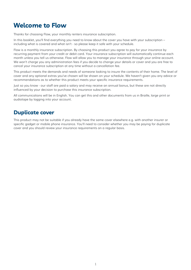# <span id="page-1-0"></span>**Welcome to Flow**

Thanks for choosing Flow, your monthly renters insurance subscription.

In this booklet, you'll find everything you need to know about the cover you have with your subscription – including what is covered and what isn't - so please keep it safe with your schedule.

Flow is a monthly insurance subscription. By choosing this product you agree to pay for your insurance by recurring payment from your credit or debit card. Your insurance subscription will automatically continue each month unless you tell us otherwise. Flow will allow you to manage your insurance through your online account. We won't charge you any administration fees if you decide to change your details or cover and you are free to cancel your insurance subscription at any time without a cancellation fee.

This product meets the demands and needs of someone looking to insure the contents of their home. The level of cover and any optional extras you've chosen will be shown on your schedule. We haven't given you any advice or recommendations as to whether this product meets your specific insurance requirements.

Just so you know - our staff are paid a salary and may receive an annual bonus, but these are not directly influenced by your decision to purchase this insurance subscription.

All communications will be in English. You can get this and other documents from us in Braille, large print or audiotape by logging into your account.

### **Duplicate cover**

This product may not be suitable if you already have the same cover elsewhere e.g. with another insurer or specific gadget or mobile phone insurance. You'll need to consider whether you may be paying for duplicate cover and you should review your insurance requirements on a regular basis.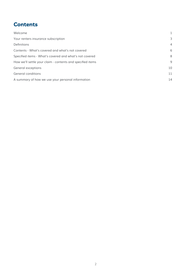# <span id="page-2-0"></span>**Contents**

| Welcome                                                    |    |
|------------------------------------------------------------|----|
| Your renters insurance subscription                        | 3  |
| Definitions                                                | 4  |
| Contents - What's covered and what's not covered           | 6  |
| Specified items - What's covered and what's not covered    | 8  |
| How we'll settle your claim - contents and specified items | 9  |
| General exceptions                                         | 10 |
| General conditions                                         | 11 |
| A summary of how we use your personal information          | 14 |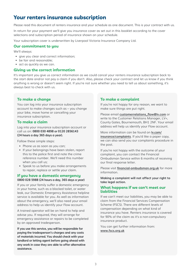# <span id="page-3-0"></span>**Your renters insurance subscription**

Please read this document of renters insurance and your schedule as one document. This is your contract with us.

In return for your payment we'll give you insurance cover as set out in this booklet according to the cover selections and subscription period of insurance shown on your schedule.

Your subscription cover is underwritten by Liverpool Victoria Insurance Company Ltd.

#### **Our commitment to you**

We'll always:

- give you clear and correct information;
- be fair and reasonable;
- act as quickly as we can.

#### **Giving us the correct information**

It's important you give us correct information as we could cancel your renters insurance subscription back to the start date and/or not pay a claim if you don't. Also, please check your contract and let us know if you think anything is wrong or doesn't seem right. If you're not sure whether you need to tell us about something, it's always best to check with us.

#### **To make a change**

You can log into your insurance subscription account to make changes such as – you change your bike, move home or cancelling your insurance subscription.

#### **To make a claim**

Log into your insurance subscription account or call us on: **0800 030 4898 or 0120 2856143 (24 hours a day 365 days a year).** 

Follow these simple steps:

- Phone us as soon as you can;
- If your belongings have been stolen, report this to the police first and note the crime reference number. We'll need this number when you call us;
- Speak to us before you make arrangements to repair, replace or settle your claim.

#### **If you have a domestic emergency 0800 028 5988 (24 hours a day, 365 days a year)**

If you or your family suffer a domestic emergency in your home, such as a blocked toilet, or water leak, our Domestic Emergency Assistance helpline service is available for you. As well as information about the emergency, we'll also need your email address to help us identify your Flow account.

A trained operator will be on hand to help and advise you. If required, they will arrange for emergency assistance or repairs to be completed by an approved tradesperson.

**If you use this service, you will be responsible for paying the tradesperson's charges and any costs of materials incurred. You should check with your landlord or letting agent before going ahead with any work in case they are able to offer alternative assistance.** 

#### **To make a complaint**

If you're not happy for any reason, we want to make sure things are put right.

Please email **[customerrelations\\_flow@lv.com](mailto:customerrelations_flow%40lv.com?subject=)** or write to the Customer Relations Manager, LV=, County Gates, Bournemouth, BH1 2NF. Your email address will help us identify your Flow account.

More information can be found on **[lv.com/](http://lv.com/insurance/complaints) [insurance/complaints](http://lv.com/insurance/complaints)**. If you'd like a paper copy, we can also send you our complaints procedure in the post.

If you're not happy with the outcome of your complaint, you can contact the Financial Ombudsman Service within 6 months of receiving our final response letter.

Please visit **[financial-ombudsman.org.uk](http://financial-ombudsman.org.uk)** for more information.

**Making a complaint will not affect your right to take legal action.** 

#### **What happens if we can't meet our liabilities**

If we can't meet our liabilities, you may be able to claim from the Financial Services Compensation Scheme (FSCS). There are different levels of compensation depending on what kind of insurance you have. Renters insurance is covered for 90% of the claim as it's a non-compulsory insurance product.

You can get further information from: **[www.fscs.org.uk](http://www.fscs.org.uk)**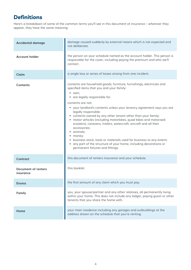# <span id="page-4-0"></span>**Definitions**

Here's a breakdown of some of the common terms you'll see in this document of insurance – wherever they appear, they have the same meaning:

| <b>Accidental damage</b>                | damage caused suddenly by external means which is not expected and<br>not deliberate.                                                                                                                                                                                                                                                                                                                                                                                                                                                                                                                                                                                                                                |
|-----------------------------------------|----------------------------------------------------------------------------------------------------------------------------------------------------------------------------------------------------------------------------------------------------------------------------------------------------------------------------------------------------------------------------------------------------------------------------------------------------------------------------------------------------------------------------------------------------------------------------------------------------------------------------------------------------------------------------------------------------------------------|
| <b>Account holder</b>                   | the person on your schedule named as the account holder. This person is<br>responsible for the cover, including paying the premium and who we'll<br>contact.                                                                                                                                                                                                                                                                                                                                                                                                                                                                                                                                                         |
| Claim                                   | a single loss or series of losses arising from one incident.                                                                                                                                                                                                                                                                                                                                                                                                                                                                                                                                                                                                                                                         |
| Contents                                | contents are household goods, furniture, furnishings, electricals and<br>specified items that you and your family:<br>• own;<br>• are legally responsible for.<br>contents are not:<br>• your landlord's contents unless your tenancy agreement says you are<br>legally responsible;<br>• contents owned by any other tenant other than your family;<br>• motor vehicles (including motorbikes, quad bikes and motorised<br>scooters), caravans, trailers, watercraft, aircraft and all their<br>accessories;<br>• animals;<br>money;<br>business stock, tools or materials used for business to any extent;<br>any part of the structure of your home, including decorations or<br>permanent fixtures and fittings. |
| Contract                                | this document of renters insurance and your schedule.                                                                                                                                                                                                                                                                                                                                                                                                                                                                                                                                                                                                                                                                |
| <b>Document of renters</b><br>insurance | this booklet.                                                                                                                                                                                                                                                                                                                                                                                                                                                                                                                                                                                                                                                                                                        |
| <b>Excess</b>                           | the first amount of any claim which you must pay.                                                                                                                                                                                                                                                                                                                                                                                                                                                                                                                                                                                                                                                                    |
| Family                                  | you, your spouse/partner and any other relatives, all permanently living<br>within your home. This does not include any lodger, paying guest or other<br>tenants that you share the home with.                                                                                                                                                                                                                                                                                                                                                                                                                                                                                                                       |
| Home                                    | your main residence including any garages and outbuildings at the<br>address shown on the schedule that you're renting.                                                                                                                                                                                                                                                                                                                                                                                                                                                                                                                                                                                              |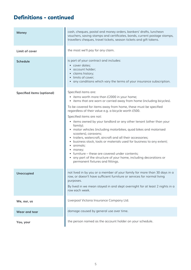# **Definitions - continued**

| <b>Money</b>                      | cash, cheques, postal and money orders, bankers' drafts, luncheon<br>vouchers, saving stamps and certificates, bonds, current postage stamps,<br>travellers cheques, travel tickets, season tickets and gift tokens.                                                                                                                                                                                                                                                                                                                                                                                                                                                                                                                                                                                        |
|-----------------------------------|-------------------------------------------------------------------------------------------------------------------------------------------------------------------------------------------------------------------------------------------------------------------------------------------------------------------------------------------------------------------------------------------------------------------------------------------------------------------------------------------------------------------------------------------------------------------------------------------------------------------------------------------------------------------------------------------------------------------------------------------------------------------------------------------------------------|
| Limit of cover                    | the most we'll pay for any claim.                                                                                                                                                                                                                                                                                                                                                                                                                                                                                                                                                                                                                                                                                                                                                                           |
| <b>Schedule</b>                   | is part of your contract and includes:<br>• cover dates;<br>• account holder;<br>· claims history;<br>• limits of cover;<br>• any conditions which vary the terms of your insurance subscription.                                                                                                                                                                                                                                                                                                                                                                                                                                                                                                                                                                                                           |
| <b>Specified items (optional)</b> | Specified items are:<br>• items worth more than £2000 in your home;<br>• items that are worn or carried away from home (including bicycles).<br>To be covered for items away from home, these must be specified<br>regardless of their value e.g. a bicycle worth £500.<br>Specified items are not:<br>• items owned by your landlord or any other tenant (other than your<br>family);<br>• motor vehicles (including motorbikes, quad bikes and motorised<br>scooters), caravans;<br>• trailers, watercraft, aircraft and all their accessories;<br>business stock, tools or materials used for business to any extent;<br>animals;<br>money;<br>• furniture – these are covered under contents;<br>• any part of the structure of your home, including decorations or<br>permanent fixtures and fittings. |
| <b>Unoccupied</b>                 | not lived in by you or a member of your family for more than 30 days in a<br>row, or doesn't have sufficient furniture or services for normal living<br>purposes.<br>By lived in we mean stayed in and slept overnight for at least 2 nights in a<br>row each week.                                                                                                                                                                                                                                                                                                                                                                                                                                                                                                                                         |
| We, our, us                       | Liverpool Victoria Insurance Company Ltd.                                                                                                                                                                                                                                                                                                                                                                                                                                                                                                                                                                                                                                                                                                                                                                   |
| Wear and tear                     | damage caused by general use over time.                                                                                                                                                                                                                                                                                                                                                                                                                                                                                                                                                                                                                                                                                                                                                                     |
| You, your                         | the person named as the account holder on your schedule.                                                                                                                                                                                                                                                                                                                                                                                                                                                                                                                                                                                                                                                                                                                                                    |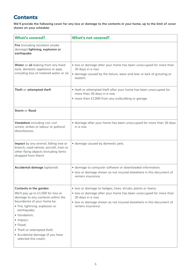# **Contents**

**We'll provide the following cover for any loss or damage to the contents in your home, up to the limit of cover shown on your schedule:**

| <b>What's covered?</b>                                                                                                                                                                                                                                                                                                  | <b>What's not covered?</b>                                                                                                                                                                                                                          |
|-------------------------------------------------------------------------------------------------------------------------------------------------------------------------------------------------------------------------------------------------------------------------------------------------------------------------|-----------------------------------------------------------------------------------------------------------------------------------------------------------------------------------------------------------------------------------------------------|
| Fire (including resultant smoke<br>damage) lightning, explosion or<br>earthquake                                                                                                                                                                                                                                        |                                                                                                                                                                                                                                                     |
| Water or oil leaking from any fixed<br>tank, domestic appliance or pipe,<br>including loss of metered water or oil.                                                                                                                                                                                                     | · loss or damage after your home has been unoccupied for more than<br>30 days in a row;<br>• damage caused by the failure, wear and tear or lack of grouting or<br>sealant.                                                                         |
| Theft or attempted theft                                                                                                                                                                                                                                                                                                | • theft or attempted theft after your home has been unoccupied for<br>more than 30 days in a row;<br>• more than £2,000 from any outbuilding or garage.                                                                                             |
| Storm or flood                                                                                                                                                                                                                                                                                                          |                                                                                                                                                                                                                                                     |
| Vandalism including riot, civil<br>unrest, strikes or labour or political<br>disturbances.                                                                                                                                                                                                                              | • damage after your home has been unoccupied for more than 30 days<br>in a row.                                                                                                                                                                     |
| Impact by any animal, falling tree or<br>branch, road vehicle, aircraft, train or<br>other flying objects (including items<br>dropped from them)                                                                                                                                                                        | · damage caused by domestic pets.                                                                                                                                                                                                                   |
| Accidental damage (optional)                                                                                                                                                                                                                                                                                            | · damage to computer software or downloaded information;<br>· loss or damage shown as not insured elsewhere in this document of<br>renters insurance.                                                                                               |
| Contents in the garden<br>We'll pay up to £1,500 for loss or<br>damage to any contents within the<br>boundaries of your home by:<br>· Fire, lightning, explosion or<br>earthquake;<br>· Vandalism;<br>· Impact;<br>· Flood;<br>• Theft or attempted theft;<br>• Accidental damage (if you have<br>selected this cover). | · loss or damage to hedges, trees, shrubs, plants or lawns;<br>• loss or damage after your home has been unoccupied for more than<br>30 days in a row;<br>• loss or damage shown as not insured elsewhere in this document of<br>renters insurance. |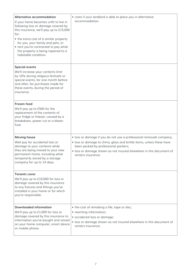| Alternative accommodation<br>If your home becomes unfit to live in<br>following loss or damage covered by<br>this insurance, we'll pay up to £15,000<br>for:<br>• the extra cost of a similar property<br>for you, your family and pets; or<br>• rent you're contracted to pay while | • costs if your landlord is able to place you in alternative<br>accommodation.                                                                                                                                                                                                    |
|--------------------------------------------------------------------------------------------------------------------------------------------------------------------------------------------------------------------------------------------------------------------------------------|-----------------------------------------------------------------------------------------------------------------------------------------------------------------------------------------------------------------------------------------------------------------------------------|
| the property is being repaired to a<br>habitable condition.                                                                                                                                                                                                                          |                                                                                                                                                                                                                                                                                   |
| <b>Special events</b><br>We'll increase your contents limit<br>by 10% during religious festivals or<br>special events, for one month before<br>and after, for purchases made for<br>these events, during the period of<br>insurance.                                                 |                                                                                                                                                                                                                                                                                   |
| Frozen food<br>We'll pay up to £500 for the<br>replacement of the contents of<br>your fridge or freezer, caused by a<br>breakdown, power cut or a blown<br>fuse.                                                                                                                     |                                                                                                                                                                                                                                                                                   |
| <b>Moving house</b><br>Well pay for accidental loss or<br>damage to your contents while<br>they are being moved to your new<br>permanent home, including while<br>temporarily stored by a storage<br>company for up to 14 days.                                                      | · loss or damage if you do not use a professional removals company;<br>· loss or damage to china, glass and brittle items, unless these have<br>been packed by professional packers;<br>· loss or damage shown as not insured elsewhere in this document of<br>renters insurance. |
| <b>Tenants cover</b><br>We'll pay up to £10,000 for loss or<br>damage covered by this insurance<br>to any fixtures and fittings you've<br>installed in your home or for which<br>you're responsible.                                                                                 |                                                                                                                                                                                                                                                                                   |
| <b>Downloaded information</b><br>We'll pay up to £1,000 for loss or<br>damage covered by this insurance to<br>information you've bought and stored<br>on your home computer, smart device<br>or mobile phone.                                                                        | • the cost of remaking a file, tape or disc;<br>• rewriting information;<br>· accidental loss or damage;<br>• loss or damage shown as not insured elsewhere in this document of<br>renters insurance.                                                                             |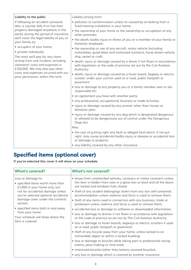<span id="page-8-0"></span>

| Liability to the public                                                                                                                                                                                                         | Liability arising from:                                                                                                                                                       |
|---------------------------------------------------------------------------------------------------------------------------------------------------------------------------------------------------------------------------------|-------------------------------------------------------------------------------------------------------------------------------------------------------------------------------|
| If following an accident someone<br>dies, is injured, falls ill or has their<br>property damaged anywhere in the<br>world, during the period of insurance,<br>we'll cover the legal liability of you or<br>your family as:      | • pollution or contamination unless its caused by oil leaking from a<br>fixed heating installation in your home;                                                              |
|                                                                                                                                                                                                                                 | • the ownership of your home or the ownership or occupation of any<br>other premises;                                                                                         |
|                                                                                                                                                                                                                                 | • the death, bodily injury or illness of you or a member of your family or<br>domestic employee;                                                                              |
| • occupiers of your home;<br>• private individuals.                                                                                                                                                                             | • the ownership or use of any aircraft, motor vehicle (including<br>motorbikes, quad bikes and motorised scooters), horse drawn vehicle,                                      |
| The most we'll pay for any claim<br>arising from one incident, including<br>claimants' costs and expenses is<br>£100,000. We may also pay other<br>costs and expenses incurred with our<br>prior permission, within this limit. | ship, vessel or craft;                                                                                                                                                        |
|                                                                                                                                                                                                                                 | • death, injury or damage caused by a drone if not flown in accordance<br>with legislation or the code of practice set out by the Civil Aviation<br>Authority;                |
|                                                                                                                                                                                                                                 | · death, injury or damage caused by a hover board, Segway or electric<br>scooter under your control used on a road, public footpath or<br>pavement;                           |
|                                                                                                                                                                                                                                 | · loss or damage to any property you or a family member own or are<br>responsible for;                                                                                        |
|                                                                                                                                                                                                                                 | • an agreement you have with another party;                                                                                                                                   |
|                                                                                                                                                                                                                                 | • any professional, occupational, business or trade activities;                                                                                                               |
|                                                                                                                                                                                                                                 | • injury or damage caused by any animal, other than horses or<br>domestic pets;                                                                                               |
|                                                                                                                                                                                                                                 | · injury or damage caused by any dog which is designated dangerous<br>or allowed to be dangerously out of control under the Dangerous<br>Dogs Act.                            |
|                                                                                                                                                                                                                                 | Also;                                                                                                                                                                         |
|                                                                                                                                                                                                                                 | • the cost of putting right any fault or alleged fault which, if not put<br>right, may cause accidental bodily injury or disease or accidental loss<br>or damage to property; |
|                                                                                                                                                                                                                                 | • any liability covered by any other insurance.                                                                                                                               |

# **Specified items (optional cover)**

**If you've selected this cover it will show on your schedule**

| <b>What's covered?</b>                                                                                                                                                                                                                                                                                                             | <b>What's not covered?</b>                                                                                                                                                            |
|------------------------------------------------------------------------------------------------------------------------------------------------------------------------------------------------------------------------------------------------------------------------------------------------------------------------------------|---------------------------------------------------------------------------------------------------------------------------------------------------------------------------------------|
| Loss or damage to:<br>• specified items worth more than<br>£2,000 in your home only, but<br>not for accidental damage unless<br>you've selected optional accidental<br>damage cover under the contents<br>section<br>• specified items both in and away<br>from your home<br>Your schedule will show where the<br>item is covered. | · losses from unattended vehicles, caravans or motor caravans unless<br>the item is hidden from view in a glove box or boot and all the doors<br>are locked and windows fully closed; |
|                                                                                                                                                                                                                                                                                                                                    | • theft of any student belongings stolen from any non self-contained<br>accommodation unless violence and force is used to remove them;                                               |
|                                                                                                                                                                                                                                                                                                                                    | • theft of any items used in connection with any business, trade or<br>profession unless violence and force is used to remove them;                                                   |
|                                                                                                                                                                                                                                                                                                                                    | • accidental loss or damage to software or downloaded information;                                                                                                                    |
|                                                                                                                                                                                                                                                                                                                                    | • loss or damage to drones if not flown in accordance with legislation<br>or the code of practice as set out by The Civil Aviation Authority;                                         |
|                                                                                                                                                                                                                                                                                                                                    | • loss or damage to hover boards, segways or electric scooters if used<br>on a road, public footpath or pavement;                                                                     |
|                                                                                                                                                                                                                                                                                                                                    | • theft of any bicycle away from your home, unless locked to an<br>immovable object or within a locked building;                                                                      |
|                                                                                                                                                                                                                                                                                                                                    | • loss or damage to bicycles while taking part in professional racing<br>events, pace-making or time trials;                                                                          |
|                                                                                                                                                                                                                                                                                                                                    | • motorised bicycles (other than battery assisted bicycles);                                                                                                                          |
|                                                                                                                                                                                                                                                                                                                                    | • any loss or damage which is covered by another insurance.                                                                                                                           |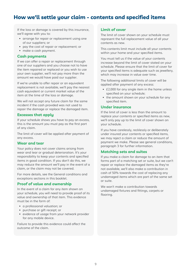# <span id="page-9-0"></span>**How we'll settle your claim - contents and specified items**

If the loss or damage is covered by this insurance, we'll agree with you to:

- arrange for repair or replacement using one of our suppliers; or
- pay the cost of repair or replacement; or
- make a cash payment.

#### **Cash payments**

If we can offer a repair or replacement through one of our suppliers and you choose not to have the item repaired or replaced or you wish to use your own supplier, we'll not pay more than the amount we would have paid our supplier.

If we're unable to offer repair or an equivalent replacement is not available, we'll pay the nearest cash equivalent or current market value of the item at the time of the loss or damage.

We will not accept any future claim for the same incident if the cash provided was not used to repair the damage or replace the damaged item.

#### **Excesses that apply**

If your schedule shows you have to pay an excess, this is the amount you must pay as the first part of any claim.

The limit of cover will be applied after payment of any excess.

#### **Wear and tear**

Your policy does not cover claims arising from wear and tear or gradual deterioration. It's your responsibility to keep your contents and specified items in good condition. If you don't do this, we may reduce the amount we'll pay in the event of a claim, or the claim may not be covered.

For more details, see the General conditions and exceptions sections in this booklet.

#### **Proof of value and ownership**

In the event of a claim for any item shown on your schedule, you will need to provide proof of its value and ownership of that item. This evidence must be in the form of:

- a professional valuation; or
- purchase or gift receipt; or
- evidence of usage from your network provider for any mobile device.

Failure to provide this evidence could affect the outcome of the claim.

#### **Limit of cover**

The limit of cover shown on your schedule must represent the full replacement value of all your contents as new.

This contents limit must include all your contents within your home and your specified items.

You must tell us if the value of your contents increase beyond the limit of cover stated on your schedule. Please ensure that the limit of cover for your specified items is adequate such as jewellery, which may increase in value over time.

The following additional limits of cover will be applied after payment of any excess:

- £2,000 for any single item in the home unless specified on your schedule;
- the amount shown on your schedule for any specified item.

#### **Under insurance**

If the limit of cover is less than the amount to replace your contents or specified items as new, we'll only pay up to the limit of cover shown on your schedule.

If you have carelessly, recklessly or deliberately under insured your contents or specified items, we may reject a claim or reduce the amount of payment we make. Please see general conditions, paragraph 3 for further information.

#### **Matching sets and suites**

If you make a claim for damage to an item that forms part of a matching set or suite, but we can't repair or replace the damaged items as they're not available, we'll also make a contribution in cash of 50% towards the cost of replacing any undamaged items which are part of the same set or suite.

We won't make a contribution towards undamaged fixtures and fittings, carpets or flooring.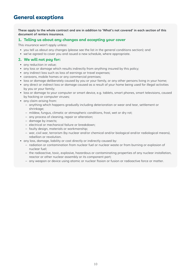# <span id="page-10-0"></span>**General exceptions**

**These apply to the whole contract and are in addition to 'What's not covered' in each section of this document of renters insurance.** 

#### **1. Telling us about any changes and accepting your cover**

This insurance won't apply unless:

- you tell us about any changes (please see the list in the general conditions section); and
- we've agreed to cover you and issued a new schedule, where appropriate.

#### **2. We will not pay for:**

- any reduction in value;
- any loss or damage which results indirectly from anything insured by this policy;
- any indirect loss such as loss of earnings or travel expenses;
- caravans, mobile homes or any commercial premises;
- loss or damage deliberately caused by you or your family, or any other persons living in your home;
- any direct or indirect loss or damage caused as a result of your home being used for illegal activities by you or your family;
- loss or damage to your computer or smart device, e.g. tablets, smart phones, smart televisions, caused by hacking or computer viruses;
- any claim arising from:
	- anything which happens gradually including deterioration or wear and tear, settlement or shrinkage;
	- mildew, fungus, climatic or atmospheric conditions, frost, wet or dry rot;
	- any process of cleaning, repair or alteration;
	- damage by insects;
	- electrical or mechanical failure or breakdown;
	- faulty design, materials or workmanship;
	- war, civil war, terrorism (by nuclear and/or chemical and/or biological and/or radiological means), rebellion or revolution.
- any loss, damage, liability or cost directly or indirectly caused by:
	- radiation or contamination from nuclear fuel or nuclear waste or from burning or explosion of nuclear fuel;
	- the radioactive, toxic, explosive, hazardous or contaminating properties of any nuclear installation, reactor or other nuclear assembly or its component part;
	- any weapon or device using atomic or nuclear fission or fusion or radioactive force or matter.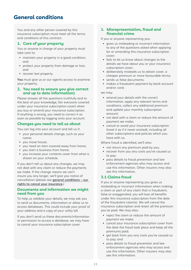# <span id="page-11-0"></span>**General conditions**

You and any other person covered by this insurance subscription must meet all the terms and conditions of this contract.

#### **1. Care of your property**

You or anyone in charge of your property must take care to:

- maintain your property in a good condition; and
- protect your property from damage or loss; and
- recover lost property.

**You** must give us or our agents access to examine your property.

#### **2. You need to ensure you give correct and up to date information)**

Please answer all the questions truthfully and to the best of your knowledge, (for everyone covered under your insurance subscription cover) when you buy or amend your insurance subscription. If anything is wrong, you need to correct it as soon as possible by logging onto your account.

#### **Changes you need to tell us about**

You can log into your account and tell us if:

- your personal details change, such as your name;
- you move house;
- you need an item covered away from home;
- you start a business from home;
- you increase your contents cover from what is shown on your schedule.

If you don't tell us about any changes, we may not deal with any claim or reduce the payments we make. If the change means we can't insure you any longer, we'll give you notice of cancellation (please see **[general conditions – our](#page-12-0)  [rights to cancel your insurance.](#page-12-0)**)

#### **Documents and information we might need from you**

To help us validate your details, we may ask you to send us documents, information or allow us to access databases. This could include your proof of your address and a copy of your utility bill.

If you don't send us these documents/information or permission to access a database, we may have to cancel your insurance subscription cover.

#### <span id="page-11-1"></span>**3. Misrepresentation, fraud and financial crime**

If you or anyone representing you:

- gives us misleading or incorrect information to any of the questions asked when applying for or amending this insurance subscription cover;
- fails to let us know about changes to the details we have about you or your insurance subscription cover;
- deliberately misleads us to obtain cover, a cheaper premium or more favourable terms;
- sends us false documents;
- makes a fraudulent payment by bank account and/or card;

we may:

- amend your details with the correct information, apply any relevant terms and conditions, collect any additional premium and update your monthly subscription amount;
- not deal with a claim or reduce the amount of payment we make;
- cancel or avoid your insurance subscription (treat it as if it never existed), including all other subscriptions and policies which you have with us.

Where fraud is identified, we'll also:

- not return any premium paid by you;
- recover from you any costs you've caused us to pay;
- pass details to fraud prevention and law enforcement agencies who may access and use this information. Other insurers may also see this information.

#### **3.1 Claims fraud**

If you or anyone representing you gives us misleading or incorrect information when making a claim or part of any claim that is fraudulent, false or exaggerated, you will lose all benefits under this insurance subscription from the date of the fraudulent claim(s). We will cancel the insurance subscription and retain all the premium you've paid. We may also:

- reject the claim or reduce the amount of payment we make;
- cancel your insurance subscription cover from the date the fraud took place and keep all the premiums paid;
- get back from you any costs you've caused us to pay; and
- pass details to fraud prevention and law enforcement agencies who may access and use this information. Other insurers may also see this information.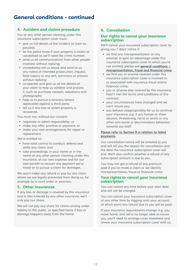# **General conditions - continued**

#### **4. Accident and claims procedure**

You or any other person claiming under this insurance subscription cover must:

- give us full details of the incident as soon as possible;
- let the police know if your property is stolen or vandalised as we'll need the crime number;
- send us all communications from other people involved, without replying;
- immediately tell us about and send to us, any notice of intended prosecution, inquest, fatal inquiry or any writ, summons or process without replying;
- co-operate and give us all the details of your claim to help us validate and process it, such as purchase receipts, valuations and photographs;
- help us to pursue a recovery (where applicable) against a third party;
- tell us if any loss or stolen property is recovered.

You must not, without our consent:

- negotiate or admit responsibility: or
- make any offer, promise or payment; or
- make your own arrangements for repair or replacement.

We're entitled to:

- have total control to conduct, defend and settle any claim; and
- take proceedings, in your name or in the name of any other person claiming under this insurance, at our own expense and for our own benefit to recover any payment we've made or to pursue a claim for damages.

We won't make any refund or pay for any claim where we are legally prevented from doing so, for example by a court order or sanction.

#### **5. Other insurances**

If any loss or damage is covered by this insurance and is also covered by any other insurance, we'll only pay our share.

We will not pay any share for claims arising under liability to the public, or specified items if loss or damage happens away from the home.

#### <span id="page-12-1"></span>**6. Cancellation**

#### <span id="page-12-0"></span>**Our rights to cancel your insurance subscription**

We'll cancel your insurance subscription cover by giving you 7 days' notice if:

- we find any misrepresentation or any attempt to gain an advantage under this insurance subscription cover to which you're not entitled, please see **[general conditions –](#page-11-1)  [misrepresentation, fraud and financial crime](#page-11-1)**;
- we find you or anyone covered under this insurance subscription cover is involved in, or associated with insurance fraud and/or financial crime;
- you or anyone else covered by this insurance hasn't met the terms and conditions of this contract;
- your circumstances have changed and we can't insure you;
- you behave inappropriately for us to continue your insurance, e.g. if you harass or show abusive, threatening, racist or sexist or any other anti-social or discriminatory behaviour towards our staff.

#### **[Please refer to Section 8 in relation to failed](#page-13-0)  [payments.](#page-13-0)**

Our cancellation notice will be emailed to you and will tell you the reason for cancellation and the date the insurance subscription cover will end. We'll also confirm whether a refund of any subscription amount is due to you.

You may not get a refund of any premium paid if you've made a claim or we identify misrepresentation, fraud or financial crime.

#### **Your rights to cancel your insurance subscription**

You can cancel any time before your start date and will not be charged.

You can cancel your insurance subscription cover at any other time by logging onto your account, at which point any refund due to you will be paid.

If your insurance requirements change, e.g. you move home, and we're no longer able to insure you, you'll need to arrange cover elsewhere and review your insurance subscription cover with us.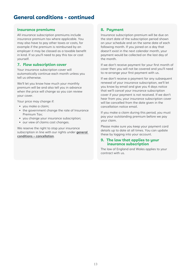# **General conditions - continued**

#### **Insurance premiums**

All insurance subscription premiums include insurance premium tax where applicable. You may also have to pay other taxes or costs, for example if the premium is reimbursed by an employer it may be classed as a taxable benefit in kind. If so you'll need to pay this tax or cost yourself.

#### **7. Flow subscription cover**

Your insurance subscription cover will automatically continue each month unless you tell us otherwise.

We'll let you know how much your monthly premium will be and also tell you in advance when the price will change so you can review your cover.

Your price may change if:

- you make a claim;
- the government change the rate of Insurance Premium Tax;
- you change your insurance subscription;
- our view of claims cost changes.

We reserve the right to stop your insurance subscription in line with our rights under **[general](#page-12-1)  [conditions – cancellation](#page-12-1)**.

#### <span id="page-13-0"></span>**8. Payment**

Insurance subscription premium will be due on the start date of the subscription period shown on your schedule and on the same date of each following month. If you joined on a day that doesn't exist in the next calendar month, your payment would be collected on the last day of the month.

If we don't receive payment for your first month of cover then you will not be covered and you'll need to re-arrange your first payment with us.

If we don't receive a payment for any subsequent renewal of your insurance subscription, we'll let you know by email and give you 4 days notice that we'll cancel your insurance subscription cover if your payment is not received. If we don't hear from you, your insurance subscription cover will be cancelled from the date given in the cancellation notice email.

If you make a claim during this period, you must pay your outstanding premium before we pay your claim.

Please make sure you keep your payment card details up to date at all times. You can update these by logging into your account.

#### **9. The law that applies to your insurance subscription**

The law of England and Wales applies to your contract with us.